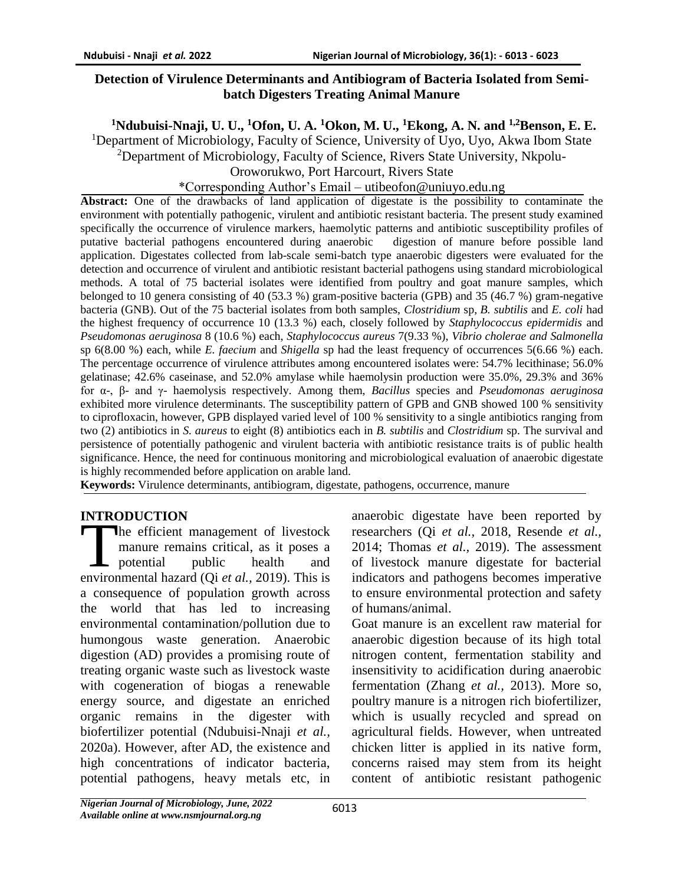### **Detection of Virulence Determinants and Antibiogram of Bacteria Isolated from Semibatch Digesters Treating Animal Manure**

**<sup>1</sup>Ndubuisi-Nnaji, U. U., <sup>1</sup>Ofon, U. A. <sup>1</sup>Okon, M. U., <sup>1</sup>Ekong, A. N. and 1,2Benson, E. E.**

<sup>1</sup>Department of Microbiology, Faculty of Science, University of Uyo, Uyo, Akwa Ibom State

 $2$ Department of Microbiology, Faculty of Science, Rivers State University, Nkpolu-

Oroworukwo, Port Harcourt, Rivers State

#### \*Corresponding Author's Email – utibeofon@uniuyo.edu.ng

**Abstract:** One of the drawbacks of land application of digestate is the possibility to contaminate the environment with potentially pathogenic, virulent and antibiotic resistant bacteria. The present study examined specifically the occurrence of virulence markers, haemolytic patterns and antibiotic susceptibility profiles of putative bacterial pathogens encountered during anaerobic digestion of manure before possible land application. Digestates collected from lab-scale semi-batch type anaerobic digesters were evaluated for the detection and occurrence of virulent and antibiotic resistant bacterial pathogens using standard microbiological methods. A total of 75 bacterial isolates were identified from poultry and goat manure samples, which belonged to 10 genera consisting of 40 (53.3 %) gram-positive bacteria (GPB) and 35 (46.7 %) gram-negative bacteria (GNB). Out of the 75 bacterial isolates from both samples, *Clostridium* sp, *B. subtilis* and *E. coli* had the highest frequency of occurrence 10 (13.3 %) each, closely followed by *Staphylococcus epidermidis* and *Pseudomonas aeruginosa* 8 (10.6 %) each, *Staphylococcus aureus* 7(9.33 %), *Vibrio cholerae and Salmonella*  sp 6(8.00 %) each, while *E. faecium* and *Shigella* sp had the least frequency of occurrences 5(6.66 %) each. The percentage occurrence of virulence attributes among encountered isolates were: 54.7% lecithinase; 56.0% gelatinase; 42.6% caseinase, and 52.0% amylase while haemolysin production were 35.0%, 29.3% and 36% for α-, β- and γ- haemolysis respectively. Among them, *Bacillus* species and *Pseudomonas aeruginosa*  exhibited more virulence determinants. The susceptibility pattern of GPB and GNB showed 100 % sensitivity to ciprofloxacin, however, GPB displayed varied level of 100 % sensitivity to a single antibiotics ranging from two (2) antibiotics in *S. aureus* to eight (8) antibiotics each in *B. subtilis* and *Clostridium* sp. The survival and persistence of potentially pathogenic and virulent bacteria with antibiotic resistance traits is of public health significance. Hence, the need for continuous monitoring and microbiological evaluation of anaerobic digestate is highly recommended before application on arable land.

**Keywords:** Virulence determinants, antibiogram, digestate, pathogens, occurrence, manure

## **INTRODUCTION**

The efficient management of livestock manure remains critical, as it poses a potential public health and The efficient management of livestock<br>
manure remains critical, as it poses a<br>
potential public health and<br>
environmental hazard (Qi *et al.*, 2019). This is a consequence of population growth across the world that has led to increasing environmental contamination/pollution due to humongous waste generation. Anaerobic digestion (AD) provides a promising route of treating organic waste such as livestock waste with cogeneration of biogas a renewable energy source, and digestate an enriched organic remains in the digester with biofertilizer potential (Ndubuisi-Nnaji *et al.,*  2020a). However, after AD, the existence and high concentrations of indicator bacteria, potential pathogens, heavy metals etc, in

anaerobic digestate have been reported by researchers (Qi *et al.,* 2018, Resende *et al.,*  2014; Thomas *et al.,* 2019). The assessment of livestock manure digestate for bacterial indicators and pathogens becomes imperative to ensure environmental protection and safety of humans/animal.

Goat manure is an excellent raw material for anaerobic digestion because of its high total nitrogen content, fermentation stability and insensitivity to acidification during anaerobic fermentation (Zhang *et al.,* 2013). More so, poultry manure is a nitrogen rich biofertilizer, which is usually recycled and spread on agricultural fields. However, when untreated chicken litter is applied in its native form, concerns raised may stem from its height content of antibiotic resistant pathogenic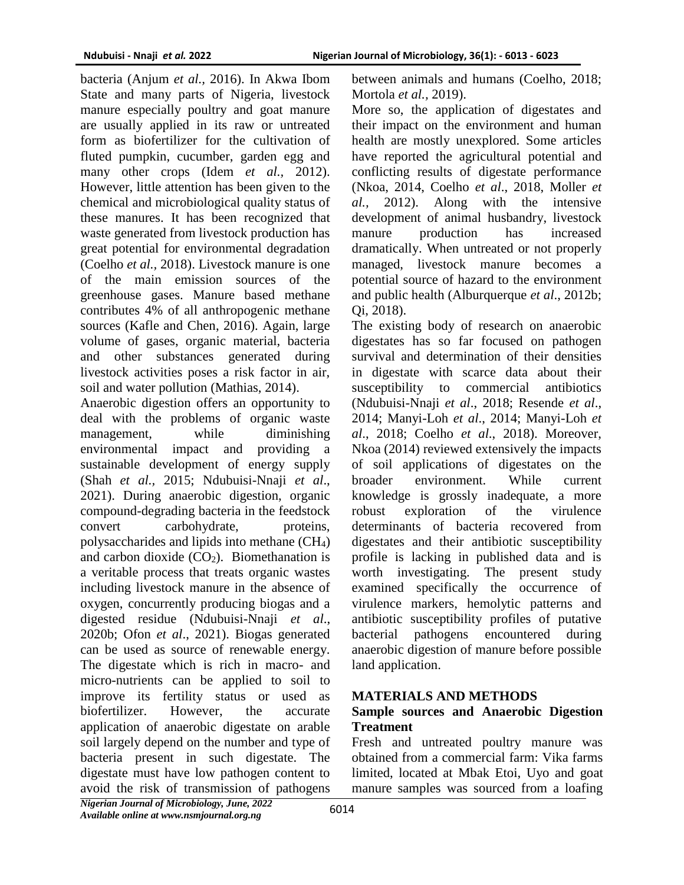bacteria (Anjum *et al.,* 2016). In Akwa Ibom State and many parts of Nigeria, livestock manure especially poultry and goat manure are usually applied in its raw or untreated form as biofertilizer for the cultivation of fluted pumpkin, cucumber, garden egg and many other crops (Idem *et al.,* 2012). However, little attention has been given to the chemical and microbiological quality status of these manures. It has been recognized that waste generated from livestock production has great potential for environmental degradation (Coelho *et al.,* 2018). Livestock manure is one of the main emission sources of the greenhouse gases. Manure based methane contributes 4% of all anthropogenic methane sources (Kafle and Chen, 2016). Again, large volume of gases, organic material, bacteria and other substances generated during livestock activities poses a risk factor in air, soil and water pollution (Mathias, 2014).

Anaerobic digestion offers an opportunity to deal with the problems of organic waste management, while diminishing environmental impact and providing a sustainable development of energy supply (Shah *et al.,* 2015; Ndubuisi-Nnaji *et al*., 2021). During anaerobic digestion, organic compound-degrading bacteria in the feedstock convert carbohydrate, proteins, polysaccharides and lipids into methane (CH4) and carbon dioxide  $(CO<sub>2</sub>)$ . Biomethanation is a veritable process that treats organic wastes including livestock manure in the absence of oxygen, concurrently producing biogas and a digested residue (Ndubuisi-Nnaji *et al*., 2020b; Ofon *et al*., 2021). Biogas generated can be used as source of renewable energy. The digestate which is rich in macro- and micro-nutrients can be applied to soil to improve its fertility status or used as biofertilizer. However, the accurate application of anaerobic digestate on arable soil largely depend on the number and type of bacteria present in such digestate. The digestate must have low pathogen content to avoid the risk of transmission of pathogens between animals and humans (Coelho, 2018; Mortola *et al.,* 2019).

More so, the application of digestates and their impact on the environment and human health are mostly unexplored. Some articles have reported the agricultural potential and conflicting results of digestate performance (Nkoa, 2014, Coelho *et al*., 2018, Moller *et al.,* 2012). Along with the intensive development of animal husbandry, livestock manure production has increased dramatically. When untreated or not properly managed, livestock manure becomes a potential source of hazard to the environment and public health (Alburquerque *et al*., 2012b; Qi, 2018).

The existing body of research on anaerobic digestates has so far focused on pathogen survival and determination of their densities in digestate with scarce data about their susceptibility to commercial antibiotics (Ndubuisi-Nnaji *et al*., 2018; Resende *et al*., 2014; Manyi-Loh *et al*., 2014; Manyi-Loh *et al*., 2018; Coelho *et al*., 2018). Moreover, Nkoa (2014) reviewed extensively the impacts of soil applications of digestates on the broader environment. While current knowledge is grossly inadequate, a more robust exploration of the virulence determinants of bacteria recovered from digestates and their antibiotic susceptibility profile is lacking in published data and is worth investigating. The present study examined specifically the occurrence of virulence markers, hemolytic patterns and antibiotic susceptibility profiles of putative bacterial pathogens encountered during anaerobic digestion of manure before possible land application.

## **MATERIALS AND METHODS**

## **Sample sources and Anaerobic Digestion Treatment**

Fresh and untreated poultry manure was obtained from a commercial farm: Vika farms limited, located at Mbak Etoi, Uyo and goat manure samples was sourced from a loafing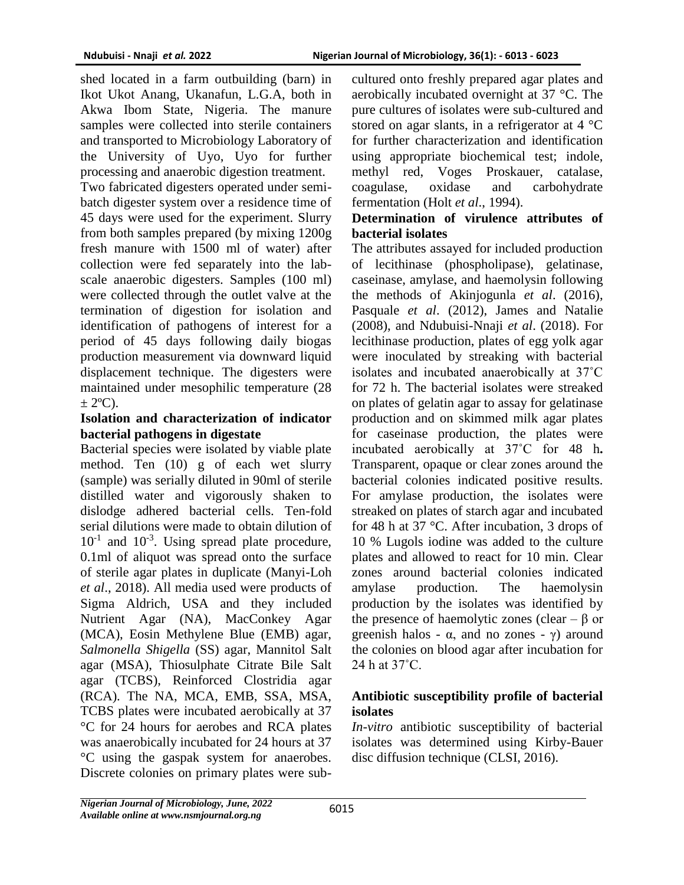shed located in a farm outbuilding (barn) in Ikot Ukot Anang, Ukanafun, L.G.A, both in Akwa Ibom State, Nigeria. The manure samples were collected into sterile containers and transported to Microbiology Laboratory of the University of Uyo, Uyo for further processing and anaerobic digestion treatment.

Two fabricated digesters operated under semibatch digester system over a residence time of 45 days were used for the experiment. Slurry from both samples prepared (by mixing 1200g fresh manure with 1500 ml of water) after collection were fed separately into the labscale anaerobic digesters. Samples (100 ml) were collected through the outlet valve at the termination of digestion for isolation and identification of pathogens of interest for a period of 45 days following daily biogas production measurement via downward liquid displacement technique. The digesters were maintained under mesophilic temperature (28  $\pm$  2<sup>o</sup>C).

## **Isolation and characterization of indicator bacterial pathogens in digestate**

Bacterial species were isolated by viable plate method. Ten (10) g of each wet slurry (sample) was serially diluted in 90ml of sterile distilled water and vigorously shaken to dislodge adhered bacterial cells. Ten-fold serial dilutions were made to obtain dilution of 10<sup>-1</sup> and 10<sup>-3</sup>. Using spread plate procedure, 0.1ml of aliquot was spread onto the surface of sterile agar plates in duplicate (Manyi-Loh *et al*., 2018). All media used were products of Sigma Aldrich, USA and they included Nutrient Agar (NA), MacConkey Agar (MCA), Eosin Methylene Blue (EMB) agar, *Salmonella Shigella* (SS) agar, Mannitol Salt agar (MSA), Thiosulphate Citrate Bile Salt agar (TCBS), Reinforced Clostridia agar (RCA). The NA, MCA, EMB, SSA, MSA, TCBS plates were incubated aerobically at 37 °C for 24 hours for aerobes and RCA plates was anaerobically incubated for 24 hours at 37 °C using the gaspak system for anaerobes. Discrete colonies on primary plates were subcultured onto freshly prepared agar plates and aerobically incubated overnight at 37 °C. The pure cultures of isolates were sub-cultured and stored on agar slants, in a refrigerator at 4 °C for further characterization and identification using appropriate biochemical test; indole, methyl red, Voges Proskauer, catalase, coagulase, oxidase and carbohydrate fermentation (Holt *et al*., 1994).

## **Determination of virulence attributes of bacterial isolates**

The attributes assayed for included production of lecithinase (phospholipase), gelatinase, caseinase, amylase, and haemolysin following the methods of Akinjogunla *et al*. (2016), Pasquale *et al*. (2012), James and Natalie (2008), and Ndubuisi-Nnaji *et al*. (2018). For lecithinase production, plates of egg yolk agar were inoculated by streaking with bacterial isolates and incubated anaerobically at 37˚C for 72 h. The bacterial isolates were streaked on plates of gelatin agar to assay for gelatinase production and on skimmed milk agar plates for caseinase production, the plates were incubated aerobically at 37˚C for 48 h**.**  Transparent, opaque or clear zones around the bacterial colonies indicated positive results. For amylase production, the isolates were streaked on plates of starch agar and incubated for 48 h at 37 °C. After incubation, 3 drops of 10 % Lugols iodine was added to the culture plates and allowed to react for 10 min. Clear zones around bacterial colonies indicated amylase production. The haemolysin production by the isolates was identified by the presence of haemolytic zones (clear – β or greenish halos -  $\alpha$ , and no zones -  $\gamma$ ) around the colonies on blood agar after incubation for 24 h at 37˚C.

## **Antibiotic susceptibility profile of bacterial isolates**

*In-vitro* antibiotic susceptibility of bacterial isolates was determined using Kirby-Bauer disc diffusion technique (CLSI, 2016).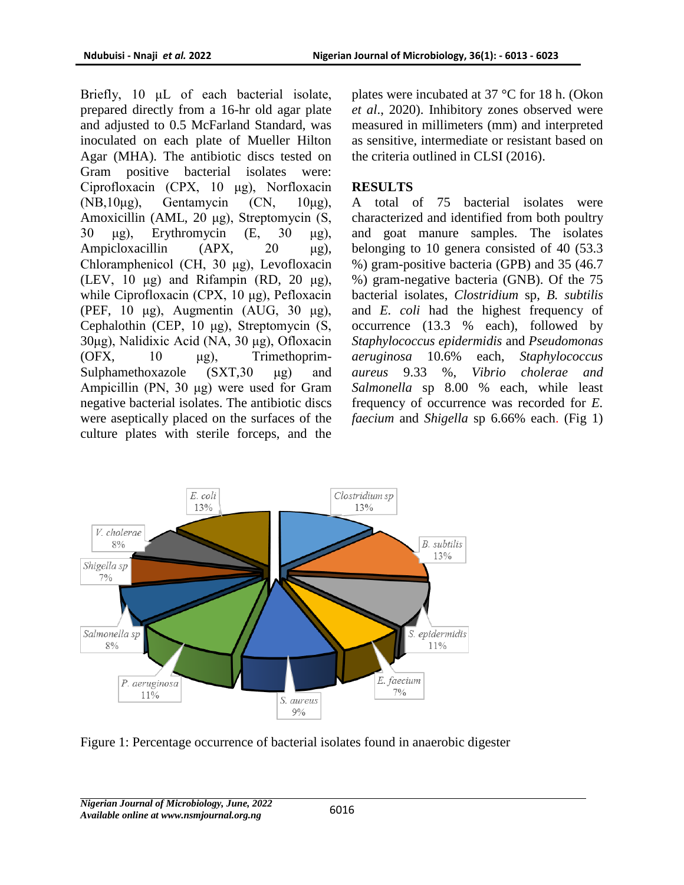Briefly, 10 μL of each bacterial isolate, prepared directly from a 16-hr old agar plate and adjusted to 0.5 McFarland Standard, was inoculated on each plate of Mueller Hilton Agar (MHA). The antibiotic discs tested on Gram positive bacterial isolates were: Ciprofloxacin (CPX, 10 μg), Norfloxacin (NB,10 $\mu$ g), Gentamycin (CN, 10 $\mu$ g), Amoxicillin (AML, 20 μg), Streptomycin (S, 30 μg), Erythromycin (E, 30 μg), Ampicloxacillin (APX, 20 μg), Chloramphenicol (CH, 30 μg), Levofloxacin (LEV, 10 μg) and Rifampin (RD, 20 μg), while Ciprofloxacin (CPX, 10 μg), Pefloxacin (PEF, 10 μg), Augmentin (AUG, 30 μg), Cephalothin (CEP, 10 μg), Streptomycin (S, 30μg), Nalidixic Acid (NA, 30 μg), Ofloxacin (OFX, 10 μg), Trimethoprim-Sulphamethoxazole (SXT,30 μg) and Ampicillin (PN, 30 μg) were used for Gram negative bacterial isolates. The antibiotic discs were aseptically placed on the surfaces of the culture plates with sterile forceps, and the

plates were incubated at 37 °C for 18 h. (Okon *et al*., 2020). Inhibitory zones observed were measured in millimeters (mm) and interpreted as sensitive, intermediate or resistant based on the criteria outlined in CLSI (2016).

## **RESULTS**

A total of 75 bacterial isolates were characterized and identified from both poultry and goat manure samples. The isolates belonging to 10 genera consisted of 40 (53.3 %) gram-positive bacteria (GPB) and 35 (46.7 %) gram-negative bacteria (GNB). Of the 75 bacterial isolates, *Clostridium* sp, *B. subtilis* and *E. coli* had the highest frequency of occurrence (13.3 % each), followed by *Staphylococcus epidermidis* and *Pseudomonas aeruginosa* 10.6% each, *Staphylococcus aureus* 9.33 %, *Vibrio cholerae and Salmonella* sp 8.00 % each, while least frequency of occurrence was recorded for *E. faecium* and *Shigella* sp 6.66% each. (Fig 1)



Figure 1: Percentage occurrence of bacterial isolates found in anaerobic digester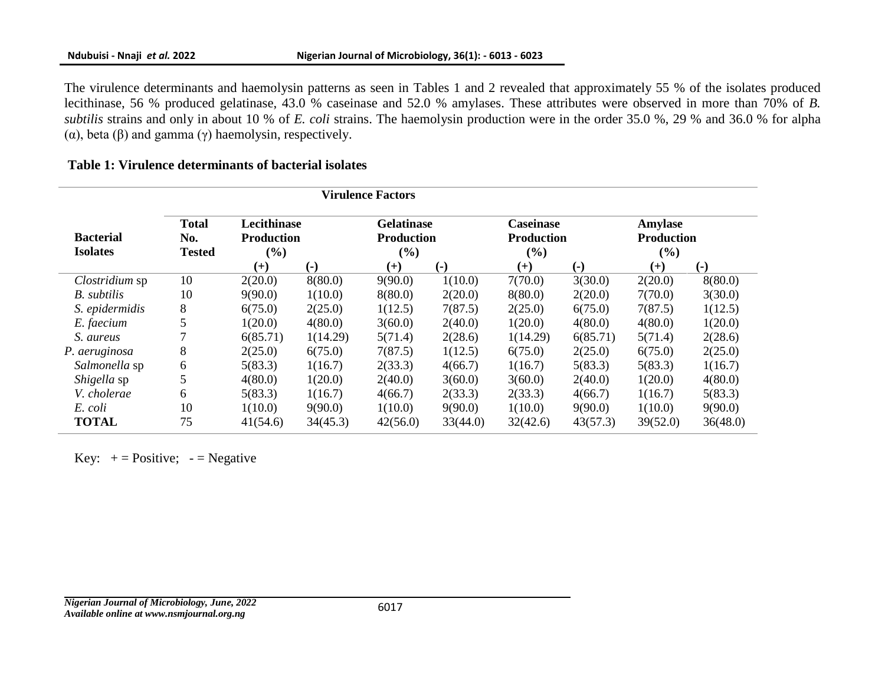The virulence determinants and haemolysin patterns as seen in Tables 1 and 2 revealed that approximately 55 % of the isolates produced lecithinase, 56 % produced gelatinase, 43.0 % caseinase and 52.0 % amylases. These attributes were observed in more than 70% of *B. subtilis* strains and only in about 10 % of *E. coli* strains. The haemolysin production were in the order 35.0 %, 29 % and 36.0 % for alpha (α), beta (β) and gamma (γ) haemolysin, respectively.

### **Table 1: Virulence determinants of bacterial isolates**

|                                     | <b>Virulence Factors</b>             |                                            |                   |                                                  |                           |                                              |                           |                                        |          |
|-------------------------------------|--------------------------------------|--------------------------------------------|-------------------|--------------------------------------------------|---------------------------|----------------------------------------------|---------------------------|----------------------------------------|----------|
| <b>Bacterial</b><br><b>Isolates</b> | <b>Total</b><br>No.<br><b>Tested</b> | Lecithinase<br><b>Production</b><br>$($ %) |                   | <b>Gelatinase</b><br><b>Production</b><br>$(\%)$ |                           | <b>Caseinase</b><br><b>Production</b><br>(%) |                           | Amylase<br><b>Production</b><br>$($ %) |          |
|                                     |                                      | $^{(+)}$                                   | $\left( -\right)$ | $^{(+)}$                                         | $\left( \text{-} \right)$ | $^{(+)}$                                     | $\left( \text{-} \right)$ | $^{(+)}$                               | $(-)$    |
| Clostridium sp                      | 10                                   | 2(20.0)                                    | 8(80.0)           | 9(90.0)                                          | 1(10.0)                   | 7(70.0)                                      | 3(30.0)                   | 2(20.0)                                | 8(80.0)  |
| B. subtilis                         | 10                                   | 9(90.0)                                    | 1(10.0)           | 8(80.0)                                          | 2(20.0)                   | 8(80.0)                                      | 2(20.0)                   | 7(70.0)                                | 3(30.0)  |
| S. epidermidis                      | 8                                    | 6(75.0)                                    | 2(25.0)           | 1(12.5)                                          | 7(87.5)                   | 2(25.0)                                      | 6(75.0)                   | 7(87.5)                                | 1(12.5)  |
| E. faecium                          | 5                                    | 1(20.0)                                    | 4(80.0)           | 3(60.0)                                          | 2(40.0)                   | 1(20.0)                                      | 4(80.0)                   | 4(80.0)                                | 1(20.0)  |
| S. aureus                           |                                      | 6(85.71)                                   | 1(14.29)          | 5(71.4)                                          | 2(28.6)                   | 1(14.29)                                     | 6(85.71)                  | 5(71.4)                                | 2(28.6)  |
| P. aeruginosa                       | 8                                    | 2(25.0)                                    | 6(75.0)           | 7(87.5)                                          | 1(12.5)                   | 6(75.0)                                      | 2(25.0)                   | 6(75.0)                                | 2(25.0)  |
| Salmonella sp                       | 6                                    | 5(83.3)                                    | 1(16.7)           | 2(33.3)                                          | 4(66.7)                   | 1(16.7)                                      | 5(83.3)                   | 5(83.3)                                | 1(16.7)  |
| Shigella sp                         | 5                                    | 4(80.0)                                    | 1(20.0)           | 2(40.0)                                          | 3(60.0)                   | 3(60.0)                                      | 2(40.0)                   | 1(20.0)                                | 4(80.0)  |
| V. cholerae                         | 6                                    | 5(83.3)                                    | 1(16.7)           | 4(66.7)                                          | 2(33.3)                   | 2(33.3)                                      | 4(66.7)                   | 1(16.7)                                | 5(83.3)  |
| E. coli                             | 10                                   | 1(10.0)                                    | 9(90.0)           | 1(10.0)                                          | 9(90.0)                   | 1(10.0)                                      | 9(90.0)                   | 1(10.0)                                | 9(90.0)  |
| <b>TOTAL</b>                        | 75                                   | 41(54.6)                                   | 34(45.3)          | 42(56.0)                                         | 33(44.0)                  | 32(42.6)                                     | 43(57.3)                  | 39(52.0)                               | 36(48.0) |

Key:  $+=$  Positive;  $=$  Negative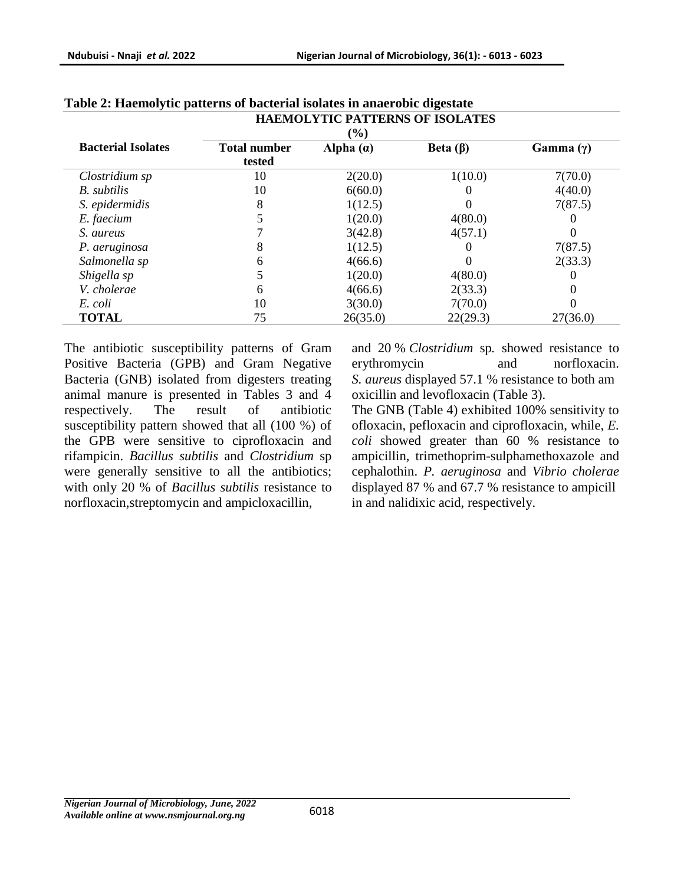|                              |                     | <b>HAEMOLYTIC PATTERNS OF ISOLATES</b> |                |                  |  |  |  |  |  |  |
|------------------------------|---------------------|----------------------------------------|----------------|------------------|--|--|--|--|--|--|
| $\left( \frac{6}{6} \right)$ |                     |                                        |                |                  |  |  |  |  |  |  |
| <b>Bacterial Isolates</b>    | <b>Total number</b> | Alpha $(a)$                            | Beta $(\beta)$ | Gamma $(\gamma)$ |  |  |  |  |  |  |
|                              | tested              |                                        |                |                  |  |  |  |  |  |  |
| Clostridium sp               | 10                  | 2(20.0)                                | 1(10.0)        | 7(70.0)          |  |  |  |  |  |  |
| B. subtilis                  | 10                  | 6(60.0)                                |                | 4(40.0)          |  |  |  |  |  |  |
| S. epidermidis               | 8                   | 1(12.5)                                |                | 7(87.5)          |  |  |  |  |  |  |
| E. faecium                   |                     | 1(20.0)                                | 4(80.0)        |                  |  |  |  |  |  |  |
| S. aureus                    |                     | 3(42.8)                                | 4(57.1)        |                  |  |  |  |  |  |  |
| P. aeruginosa                | 8                   | 1(12.5)                                |                | 7(87.5)          |  |  |  |  |  |  |
| Salmonella sp                | 6                   | 4(66.6)                                |                | 2(33.3)          |  |  |  |  |  |  |
| Shigella sp                  |                     | 1(20.0)                                | 4(80.0)        |                  |  |  |  |  |  |  |
| V. cholerae                  | 6                   | 4(66.6)                                | 2(33.3)        |                  |  |  |  |  |  |  |
| E. coli                      | 10                  | 3(30.0)                                | 7(70.0)        |                  |  |  |  |  |  |  |
| <b>TOTAL</b>                 | 75                  | 26(35.0)                               | 22(29.3)       | 27(36.0)         |  |  |  |  |  |  |

# **Table 2: Haemolytic patterns of bacterial isolates in anaerobic digestate**

The antibiotic susceptibility patterns of Gram Positive Bacteria (GPB) and Gram Negative Bacteria (GNB) isolated from digesters treating animal manure is presented in Tables 3 and 4 respectively. The result of antibiotic susceptibility pattern showed that all (100 %) of the GPB were sensitive to ciprofloxacin and rifampicin. *Bacillus subtilis* and *Clostridium* sp were generally sensitive to all the antibiotics; with only 20 % of *Bacillus subtilis* resistance to norfloxacin,streptomycin and ampicloxacillin,

and 20 % *Clostridium* sp*.* showed resistance to erythromycin and norfloxacin. *S. aureus* displayed 57.1 % resistance to both am oxicillin and levofloxacin (Table 3).

The GNB (Table 4) exhibited 100% sensitivity to ofloxacin, pefloxacin and ciprofloxacin, while, *E. coli* showed greater than 60 % resistance to ampicillin, trimethoprim-sulphamethoxazole and cephalothin. *P. aeruginosa* and *Vibrio cholerae* displayed 87 % and 67.7 % resistance to ampicill in and nalidixic acid, respectively.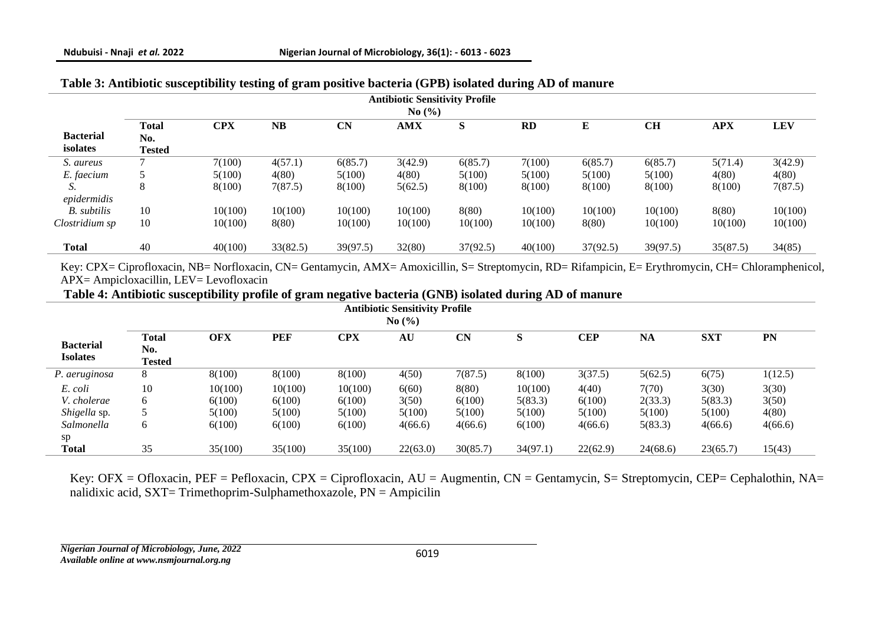| <b>Antibiotic Sensitivity Profile</b> |                                      |            |           |           |            |          |           |          |          |            |            |
|---------------------------------------|--------------------------------------|------------|-----------|-----------|------------|----------|-----------|----------|----------|------------|------------|
| No $\left(\frac{9}{6}\right)$         |                                      |            |           |           |            |          |           |          |          |            |            |
| <b>Bacterial</b><br>isolates          | <b>Total</b><br>No.<br><b>Tested</b> | <b>CPX</b> | <b>NB</b> | <b>CN</b> | <b>AMX</b> | S        | <b>RD</b> | E        | CH       | <b>APX</b> | <b>LEV</b> |
| S. aureus                             |                                      | 7(100)     | 4(57.1)   | 6(85.7)   | 3(42.9)    | 6(85.7)  | 7(100)    | 6(85.7)  | 6(85.7)  | 5(71.4)    | 3(42.9)    |
| E. faecium                            | $\mathcal{D}$                        | 5(100)     | 4(80)     | 5(100)    | 4(80)      | 5(100)   | 5(100)    | 5(100)   | 5(100)   | 4(80)      | 4(80)      |
| S.                                    | 8                                    | 8(100)     | 7(87.5)   | 8(100)    | 5(62.5)    | 8(100)   | 8(100)    | 8(100)   | 8(100)   | 8(100)     | 7(87.5)    |
| epidermidis                           |                                      |            |           |           |            |          |           |          |          |            |            |
| B. subtilis                           | 10                                   | 10(100)    | 10(100)   | 10(100)   | 10(100)    | 8(80)    | 10(100)   | 10(100)  | 10(100)  | 8(80)      | 10(100)    |
| Clostridium sp                        | 10                                   | 10(100)    | 8(80)     | 10(100)   | 10(100)    | 10(100)  | 10(100)   | 8(80)    | 10(100)  | 10(100)    | 10(100)    |
| <b>Total</b>                          | 40                                   | 40(100)    | 33(82.5)  | 39(97.5)  | 32(80)     | 37(92.5) | 40(100)   | 37(92.5) | 39(97.5) | 35(87.5)   | 34(85)     |

## **Table 3: Antibiotic susceptibility testing of gram positive bacteria (GPB) isolated during AD of manure**

Key: CPX= Ciprofloxacin, NB= Norfloxacin, CN= Gentamycin, AMX= Amoxicillin, S= Streptomycin, RD= Rifampicin, E= Erythromycin, CH= Chloramphenicol, APX= Ampicloxacillin, LEV= Levofloxacin

**Table 4: Antibiotic susceptibility profile of gram negative bacteria (GNB) isolated during AD of manure**

| <b>Antibiotic Sensitivity Profile</b> |               |            |            |            |          |           |          |            |          |            |         |
|---------------------------------------|---------------|------------|------------|------------|----------|-----------|----------|------------|----------|------------|---------|
| No(%)                                 |               |            |            |            |          |           |          |            |          |            |         |
|                                       | <b>Total</b>  | <b>OFX</b> | <b>PEF</b> | <b>CPX</b> | AU       | <b>CN</b> | S        | <b>CEP</b> | NA       | <b>SXT</b> | PN      |
| <b>Bacterial</b>                      | No.           |            |            |            |          |           |          |            |          |            |         |
| <b>Isolates</b>                       | <b>Tested</b> |            |            |            |          |           |          |            |          |            |         |
| P. aeruginosa                         | 8             | 8(100)     | 8(100)     | 8(100)     | 4(50)    | 7(87.5)   | 8(100)   | 3(37.5)    | 5(62.5)  | 6(75)      | 1(12.5) |
| E. coli                               | 10            | 10(100)    | 10(100)    | 10(100)    | 6(60)    | 8(80)     | 10(100)  | 4(40)      | 7(70)    | 3(30)      | 3(30)   |
| V. cholerae                           | 6             | 6(100)     | 6(100)     | 6(100)     | 3(50)    | 6(100)    | 5(83.3)  | 6(100)     | 2(33.3)  | 5(83.3)    | 3(50)   |
| Shigella sp.                          |               | 5(100)     | 5(100)     | 5(100)     | 5(100)   | 5(100)    | 5(100)   | 5(100)     | 5(100)   | 5(100)     | 4(80)   |
| Salmonella                            | 6             | 6(100)     | 6(100)     | 6(100)     | 4(66.6)  | 4(66.6)   | 6(100)   | 4(66.6)    | 5(83.3)  | 4(66.6)    | 4(66.6) |
| sp                                    |               |            |            |            |          |           |          |            |          |            |         |
| Total                                 | 35            | 35(100)    | 35(100)    | 35(100)    | 22(63.0) | 30(85.7)  | 34(97.1) | 22(62.9)   | 24(68.6) | 23(65.7)   | 15(43)  |

Key: OFX = Ofloxacin, PEF = Pefloxacin, CPX = Ciprofloxacin, AU = Augmentin, CN = Gentamycin, S= Streptomycin, CEP= Cephalothin, NA= nalidixic acid, SXT= Trimethoprim-Sulphamethoxazole, PN = Ampicilin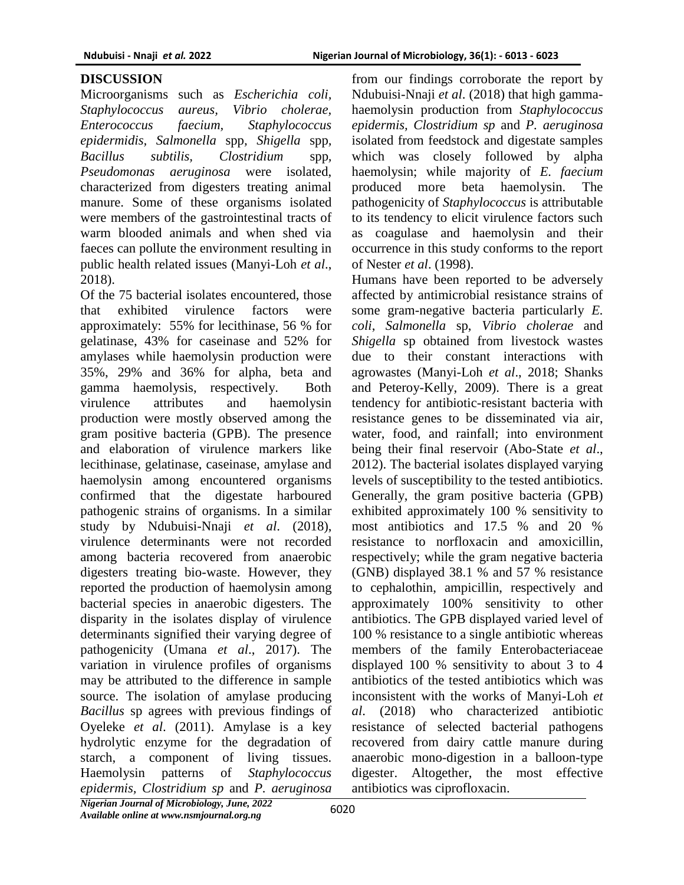#### **DISCUSSION**

Microorganisms such as *Escherichia coli, Staphylococcus aureus, Vibrio cholerae, Enterococcus faecium, Staphylococcus epidermidis, Salmonella* spp*, Shigella* spp*, Bacillus subtilis, Clostridium* spp*, Pseudomonas aeruginosa* were isolated, characterized from digesters treating animal manure. Some of these organisms isolated were members of the gastrointestinal tracts of warm blooded animals and when shed via faeces can pollute the environment resulting in public health related issues (Manyi-Loh *et al*., 2018).

Of the 75 bacterial isolates encountered, those that exhibited virulence factors were approximately: 55% for lecithinase, 56 % for gelatinase, 43% for caseinase and 52% for amylases while haemolysin production were 35%, 29% and 36% for alpha, beta and gamma haemolysis, respectively. Both virulence attributes and haemolysin production were mostly observed among the gram positive bacteria (GPB). The presence and elaboration of virulence markers like lecithinase, gelatinase, caseinase, amylase and haemolysin among encountered organisms confirmed that the digestate harboured pathogenic strains of organisms. In a similar study by Ndubuisi-Nnaji *et al*. (2018), virulence determinants were not recorded among bacteria recovered from anaerobic digesters treating bio-waste. However, they reported the production of haemolysin among bacterial species in anaerobic digesters. The disparity in the isolates display of virulence determinants signified their varying degree of pathogenicity (Umana *et al*., 2017). The variation in virulence profiles of organisms may be attributed to the difference in sample source. The isolation of amylase producing *Bacillus* sp agrees with previous findings of Oyeleke *et al*. (2011). Amylase is a key hydrolytic enzyme for the degradation of starch, a component of living tissues. Haemolysin patterns of *Staphylococcus epidermis, Clostridium sp* and *P. aeruginosa*

from our findings corroborate the report by Ndubuisi-Nnaji *et al*. (2018) that high gammahaemolysin production from *Staphylococcus epidermis, Clostridium sp* and *P. aeruginosa* isolated from feedstock and digestate samples which was closely followed by alpha haemolysin; while majority of *E. faecium*  produced more beta haemolysin. The pathogenicity of *Staphylococcus* is attributable to its tendency to elicit virulence factors such as coagulase and haemolysin and their occurrence in this study conforms to the report of Nester *et al*. (1998).

Humans have been reported to be adversely affected by antimicrobial resistance strains of some gram-negative bacteria particularly *E. coli*, *Salmonella* sp, *Vibrio cholerae* and *Shigella* sp obtained from livestock wastes due to their constant interactions with agrowastes (Manyi-Loh *et al*., 2018; Shanks and Peteroy-Kelly, 2009). There is a great tendency for antibiotic-resistant bacteria with resistance genes to be disseminated via air, water, food, and rainfall; into environment being their final reservoir (Abo-State *et al*., 2012). The bacterial isolates displayed varying levels of susceptibility to the tested antibiotics. Generally, the gram positive bacteria (GPB) exhibited approximately 100 % sensitivity to most antibiotics and 17.5 % and 20 % resistance to norfloxacin and amoxicillin, respectively; while the gram negative bacteria (GNB) displayed 38.1 % and 57 % resistance to cephalothin, ampicillin, respectively and approximately 100% sensitivity to other antibiotics. The GPB displayed varied level of 100 % resistance to a single antibiotic whereas members of the family Enterobacteriaceae displayed 100 % sensitivity to about 3 to 4 antibiotics of the tested antibiotics which was inconsistent with the works of Manyi-Loh *et al*. (2018) who characterized antibiotic resistance of selected bacterial pathogens recovered from dairy cattle manure during anaerobic mono-digestion in a balloon-type digester. Altogether, the most effective antibiotics was ciprofloxacin.

*Nigerian Journal of Microbiology, June, 2022 Available online at www.nsmjournal.org.ng*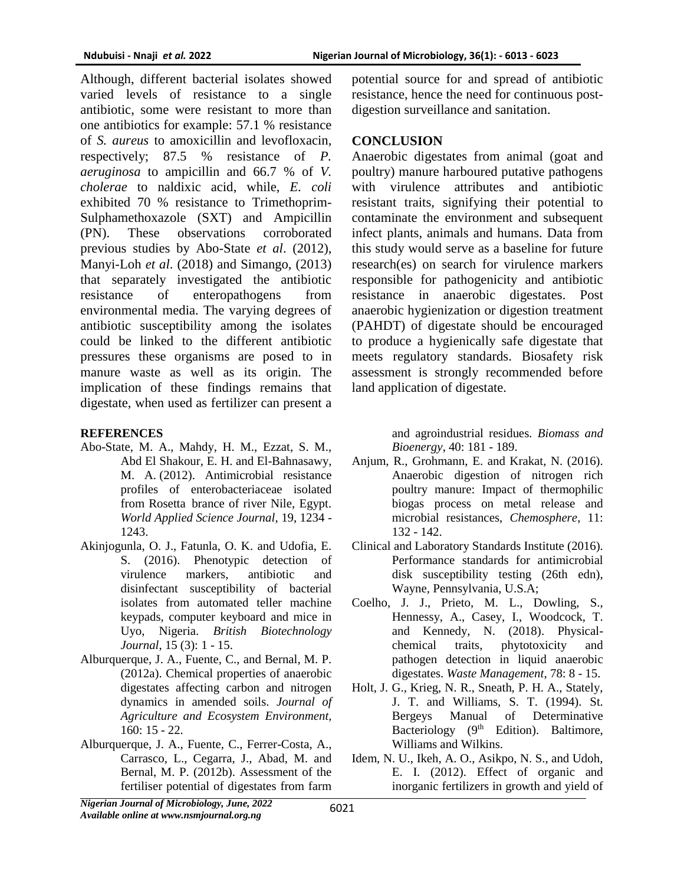Although, different bacterial isolates showed varied levels of resistance to a single antibiotic, some were resistant to more than one antibiotics for example: 57.1 % resistance of *S. aureus* to amoxicillin and levofloxacin, respectively; 87.5 % resistance of *P. aeruginosa* to ampicillin and 66.7 % of *V. cholerae* to naldixic acid, while, *E. coli*  exhibited 70 % resistance to Trimethoprim-Sulphamethoxazole (SXT) and Ampicillin (PN). These observations corroborated previous studies by Abo-State *et al*. (2012), Manyi-Loh *et al*. (2018) and Simango, (2013) that separately investigated the antibiotic resistance of enteropathogens from environmental media. The varying degrees of antibiotic susceptibility among the isolates could be linked to the different antibiotic pressures these organisms are posed to in manure waste as well as its origin. The implication of these findings remains that digestate, when used as fertilizer can present a

## **REFERENCES**

- Abo-State, M. A., Mahdy, H. M., Ezzat, S. M., Abd El Shakour, E. H. and El-Bahnasawy, M. A. (2012). Antimicrobial resistance profiles of enterobacteriaceae isolated from Rosetta brance of river Nile, Egypt. *World Applied Science Journal*, 19, 1234 - 1243.
- Akinjogunla, O. J., Fatunla, O. K. and Udofia, E. S. (2016). Phenotypic detection of virulence markers, antibiotic and disinfectant susceptibility of bacterial isolates from automated teller machine keypads, computer keyboard and mice in Uyo, Nigeria. *British Biotechnology Journal*, 15 (3): 1 - 15.
- Alburquerque, J. A., Fuente, C., and Bernal, M. P. (2012a). Chemical properties of anaerobic digestates affecting carbon and nitrogen dynamics in amended soils. *Journal of Agriculture and Ecosystem Environment,* 160: 15 - 22.
- Alburquerque, J. A., Fuente, C., Ferrer-Costa, A., Carrasco, L., Cegarra, J., Abad, M. and Bernal, M. P. (2012b). Assessment of the fertiliser potential of digestates from farm

potential source for and spread of antibiotic resistance, hence the need for continuous postdigestion surveillance and sanitation.

### **CONCLUSION**

Anaerobic digestates from animal (goat and poultry) manure harboured putative pathogens with virulence attributes and antibiotic resistant traits, signifying their potential to contaminate the environment and subsequent infect plants, animals and humans. Data from this study would serve as a baseline for future research(es) on search for virulence markers responsible for pathogenicity and antibiotic resistance in anaerobic digestates. Post anaerobic hygienization or digestion treatment (PAHDT) of digestate should be encouraged to produce a hygienically safe digestate that meets regulatory standards. Biosafety risk assessment is strongly recommended before land application of digestate.

> and agroindustrial residues. *Biomass and Bioenergy*, 40: 181 - 189.

- Anjum, R., Grohmann, E. and Krakat, N. (2016). Anaerobic digestion of nitrogen rich poultry manure: Impact of thermophilic biogas process on metal release and microbial resistances, *Chemosphere*, 11: 132 - 142.
- Clinical and Laboratory Standards Institute (2016). Performance standards for antimicrobial disk susceptibility testing (26th edn), Wayne, Pennsylvania, U.S.A;
- Coelho, J. J., Prieto, M. L., Dowling, S., Hennessy, A., Casey, I., Woodcock, T. and Kennedy, N. (2018). Physicalchemical traits, phytotoxicity and pathogen detection in liquid anaerobic digestates. *Waste Management*, 78: 8 - 15.
- Holt, J. G., Krieg, N. R., Sneath, P. H. A., Stately, J. T. and Williams, S. T. (1994). St. Bergeys Manual of Determinative Bacteriology  $(9<sup>th</sup> Edition)$ . Baltimore, Williams and Wilkins.
- Idem, N. U., Ikeh, A. O., Asikpo, N. S., and Udoh, E. I. (2012). Effect of organic and inorganic fertilizers in growth and yield of

*Nigerian Journal of Microbiology, June, 2022 Available online at www.nsmjournal.org.ng*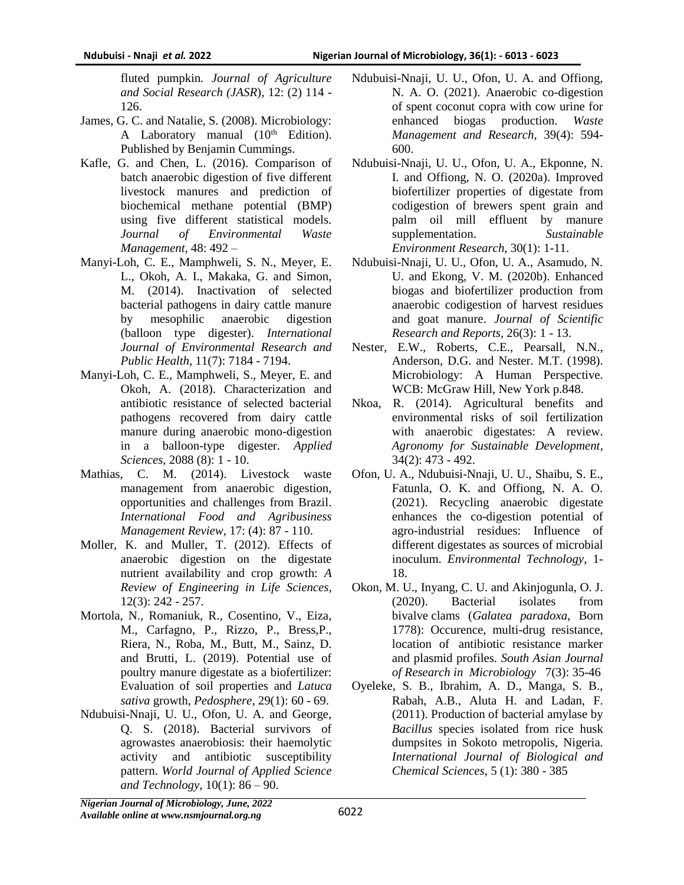fluted pumpkin*. Journal of Agriculture and Social Research (JASR*), 12: (2) 114 - 126.

- James, G. C. and Natalie, S. (2008). Microbiology: A Laboratory manual  $(10<sup>th</sup> Edition)$ . Published by Benjamin Cummings.
- Kafle, G. and Chen, L. (2016). Comparison of batch anaerobic digestion of five different livestock manures and prediction of biochemical methane potential (BMP) using five different statistical models. *Journal of Environmental Waste Management,* 48: 492 –
- Manyi-Loh, C. E., Mamphweli, S. N., Meyer, E. L., Okoh, A. I., Makaka, G. and Simon, M. (2014). Inactivation of selected bacterial pathogens in dairy cattle manure by mesophilic anaerobic digestion (balloon type digester). *International Journal of Environmental Research and Public Health*, 11(7): 7184 - 7194.
- Manyi-Loh, C. E., Mamphweli, S., Meyer, E. and Okoh, A. (2018). Characterization and antibiotic resistance of selected bacterial pathogens recovered from dairy cattle manure during anaerobic mono-digestion in a balloon-type digester. *Applied Sciences*, 2088 (8): 1 - 10.
- Mathias, C. M. (2014). Livestock waste management from anaerobic digestion, opportunities and challenges from Brazil. *International Food and Agribusiness Management Review,* 17: (4): 87 - 110.
- Moller, K. and Muller, T. (2012). Effects of anaerobic digestion on the digestate nutrient availability and crop growth: *A Review of Engineering in Life Sciences*, 12(3): 242 - 257.
- Mortola, N., Romaniuk, R., Cosentino, V., Eiza, M., Carfagno, P., Rizzo, P., Bress,P., Riera, N., Roba, M., Butt, M., Sainz, D. and Brutti, L. (2019). Potential use of poultry manure digestate as a biofertilizer: Evaluation of soil properties and *Latuca sativa* growth, *Pedosphere*, 29(1): 60 - 69.
- Ndubuisi-Nnaji, U. U., Ofon, U. A. and George, Q. S. (2018). Bacterial survivors of agrowastes anaerobiosis: their haemolytic activity and antibiotic susceptibility pattern. *World Journal of Applied Science and Technology*, 10(1): 86 – 90.
- Ndubuisi-Nnaji, U. U., Ofon, U. A. and Offiong, N. A. O. (2021). Anaerobic co-digestion of spent coconut copra with cow urine for enhanced biogas production. *Waste Management and Research*, 39(4): 594- 600.
- Ndubuisi-Nnaji, U. U., Ofon, U. A., Ekponne, N. I. and Offiong, N. O. (2020a). Improved biofertilizer properties of digestate from codigestion of brewers spent grain and palm oil mill effluent by manure supplementation. *Sustainable Environment Research*, 30(1): 1-11.
- Ndubuisi-Nnaji, U. U., Ofon, U. A., Asamudo, N. U. and Ekong, V. M. (2020b). Enhanced biogas and biofertilizer production from anaerobic codigestion of harvest residues and goat manure. *Journal of Scientific Research and Reports*, 26(3): 1 - 13.
- Nester, E.W., Roberts, C.E., Pearsall, N.N., Anderson, D.G. and Nester. M.T. (1998). Microbiology: A Human Perspective. WCB: McGraw Hill, New York p.848.
- Nkoa, R. (2014). Agricultural benefits and environmental risks of soil fertilization with anaerobic digestates: A review. *Agronomy for Sustainable Development*, 34(2): 473 - 492.
- Ofon, U. A., Ndubuisi-Nnaji, U. U., Shaibu, S. E., Fatunla, O. K. and Offiong, N. A. O. (2021). Recycling anaerobic digestate enhances the co-digestion potential of agro-industrial residues: Influence of different digestates as sources of microbial inoculum. *Environmental Technology*, 1- 18.
- Okon, M. U., Inyang, C. U. and Akinjogunla, O. J. (2020). Bacterial isolates from bivalve clams (*Galatea paradoxa*, Born 1778): Occurence, multi-drug resistance, location of antibiotic resistance marker and plasmid profiles. *South Asian Journal of Research in Microbiology* 7(3): 35-46
- Oyeleke, S. B., Ibrahim, A. D., Manga, S. B., Rabah, A.B., Aluta H. and Ladan, F. (2011). Production of bacterial amylase by *Bacillus* species isolated from rice husk dumpsites in Sokoto metropolis, Nigeria. *International Journal of Biological and Chemical Sciences*, 5 (1): 380 - 385

*Nigerian Journal of Microbiology, June, 2022 Available online at www.nsmjournal.org.ng*